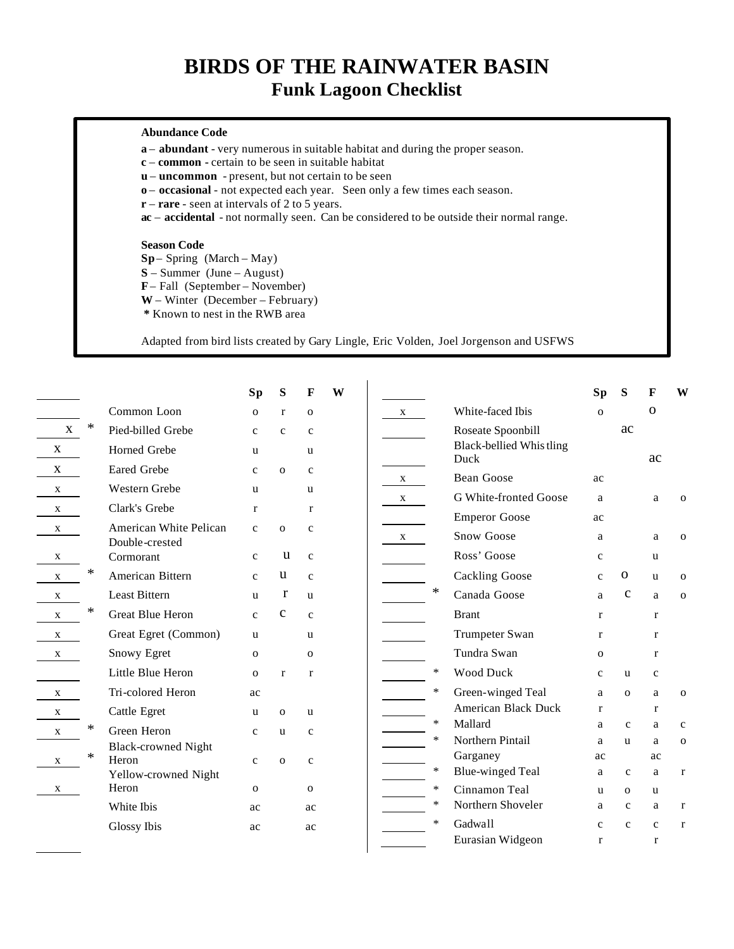## **BIRDS OF THE RAINWATER BASIN Funk Lagoon Checklist**

## **Abundance Code**

**a** – **abundant** - very numerous in suitable habitat and during the proper season.

- **c common -** certain to be seen in suitable habitat
- **u uncommon** present, but not certain to be seen
- **o occasional**  not expected each year. Seen only a few times each season.
- **r rare**  seen at intervals of 2 to 5 years.

**ac** – **accidental** - not normally seen. Can be considered to be outside their normal range.

## **Season Code**

**Sp**– Spring (March – May)

**S** – Summer (June – August)

**F** – Fall (September – November)

**W** – Winter (December – February)

**\*** Known to nest in the RWB area

Adapted from bird lists created by Gary Lingle, Eric Volden, Joel Jorgenson and USFWS

| $\mathbf{X}$ | ∗      | Common Loon                              |              |              |              |  |              |        |                                 | <b>Sp</b>    | S            | F            | W            |
|--------------|--------|------------------------------------------|--------------|--------------|--------------|--|--------------|--------|---------------------------------|--------------|--------------|--------------|--------------|
|              |        |                                          | $\mathbf{O}$ | $\mathbf{r}$ | $\mathbf{O}$ |  | X            |        | White-faced Ibis                | $\mathbf{o}$ |              | $\Omega$     |              |
|              |        | Pied-billed Grebe                        | $\mathbf{C}$ | $\mathbf{C}$ | $\mathbf{c}$ |  |              |        | Roseate Spoonbill               |              | ac           |              |              |
| $\mathbf{X}$ |        | Horned Grebe                             | u            |              | u            |  |              |        | Black-bellied Whistling<br>Duck |              |              | ac           |              |
| $\mathbf{X}$ |        | <b>Eared Grebe</b>                       | $\mathbf{C}$ | $\Omega$     | $\mathbf{C}$ |  | $\mathbf{X}$ |        | <b>Bean Goose</b>               | ac           |              |              |              |
| $\mathbf{X}$ |        | Western Grebe                            | u            |              | u            |  | X            |        | G White-fronted Goose           | a            |              | a            | $\mathbf{O}$ |
| X            |        | Clark's Grebe                            | r            |              | $\mathbf{r}$ |  |              |        | <b>Emperor Goose</b>            | ac           |              |              |              |
| X            |        | American White Pelican<br>Double-crested | $\mathbf{c}$ | $\mathbf{o}$ | $\mathbf{c}$ |  | X            |        | Snow Goose                      | a            |              | a            | $\mathbf{o}$ |
| X            |        | Cormorant                                | $\mathbf{c}$ | u            | $\mathbf{C}$ |  |              |        | Ross' Goose                     | $\mathbf c$  |              | <b>u</b>     |              |
| X            | ∗      | American Bittern                         | $\mathbf{c}$ | u            | $\mathbf{c}$ |  |              |        | <b>Cackling Goose</b>           | $\mathbf{C}$ | 0            | <b>u</b>     | $\mathbf 0$  |
| X            |        | <b>Least Bittern</b>                     | u            | r            | $\mathbf{u}$ |  |              | $\ast$ | Canada Goose                    | a            | $\mathbf c$  | a            | $\mathbf 0$  |
| $\mathbf{X}$ | *      | <b>Great Blue Heron</b>                  | $\mathbf{c}$ | $\mathbf c$  | $\mathbf{c}$ |  |              |        | <b>Brant</b>                    | r            |              | r            |              |
| $\mathbf{X}$ |        | Great Egret (Common)                     | <b>u</b>     |              | u            |  |              |        | Trumpeter Swan                  | $\mathbf{r}$ |              | $\mathbf{r}$ |              |
| X            |        | Snowy Egret                              | $\mathbf{O}$ |              | $\mathbf{o}$ |  |              |        | Tundra Swan                     | $\mathbf{O}$ |              | r            |              |
|              |        | Little Blue Heron                        | $\Omega$     | $\mathbf{r}$ | $\mathbf{r}$ |  |              | ∗      | <b>Wood Duck</b>                | $\mathbf{C}$ | <b>u</b>     | $\mathbf{C}$ |              |
| $\mathbf X$  |        | Tri-colored Heron                        | ac           |              |              |  |              | ∗      | Green-winged Teal               | a            | $\mathbf{o}$ | a            | $\mathbf{o}$ |
| $\mathbf{X}$ |        | Cattle Egret                             | u            | $\mathbf{o}$ | u            |  |              |        | American Black Duck             | r            |              | r            |              |
| X            | $\ast$ | Green Heron                              | $\mathbf{C}$ | u            | $\mathbf{C}$ |  |              | $\ast$ | Mallard                         | a            | $\mathbf{C}$ | a            | $\mathbf{C}$ |
|              |        | <b>Black-crowned Night</b>               |              |              |              |  |              | $\ast$ | Northern Pintail                | a            | $\mathbf{u}$ | a            | $\mathbf{o}$ |
| X            | *      | Heron                                    | $\mathbf{c}$ | $\mathbf{o}$ | $\mathbf{C}$ |  |              |        | Garganey                        | ac           |              | ac           |              |
|              |        | Yellow-crowned Night                     |              |              |              |  |              | ∗      | <b>Blue-winged Teal</b>         | a            | $\mathbf{c}$ | a            | $\mathbf r$  |
| X            |        | Heron                                    | $\mathbf{O}$ |              | $\mathbf{O}$ |  |              | ∗      | Cinnamon Teal                   | u            | $\mathbf{O}$ | <b>u</b>     |              |
|              |        | White Ibis                               | ac           |              | ac           |  |              | ∗      | Northern Shoveler               | a            | $\mathbf{C}$ | a            | $\mathbf{r}$ |
|              |        | Glossy Ibis                              | ac           |              | ac           |  |              | $\ast$ | Gadwall                         | $\mathbf{C}$ | $\mathbf{C}$ | $\mathbf{C}$ | $\bf r$      |
|              |        |                                          |              |              |              |  |              |        | Eurasian Widgeon                | r            |              | r            |              |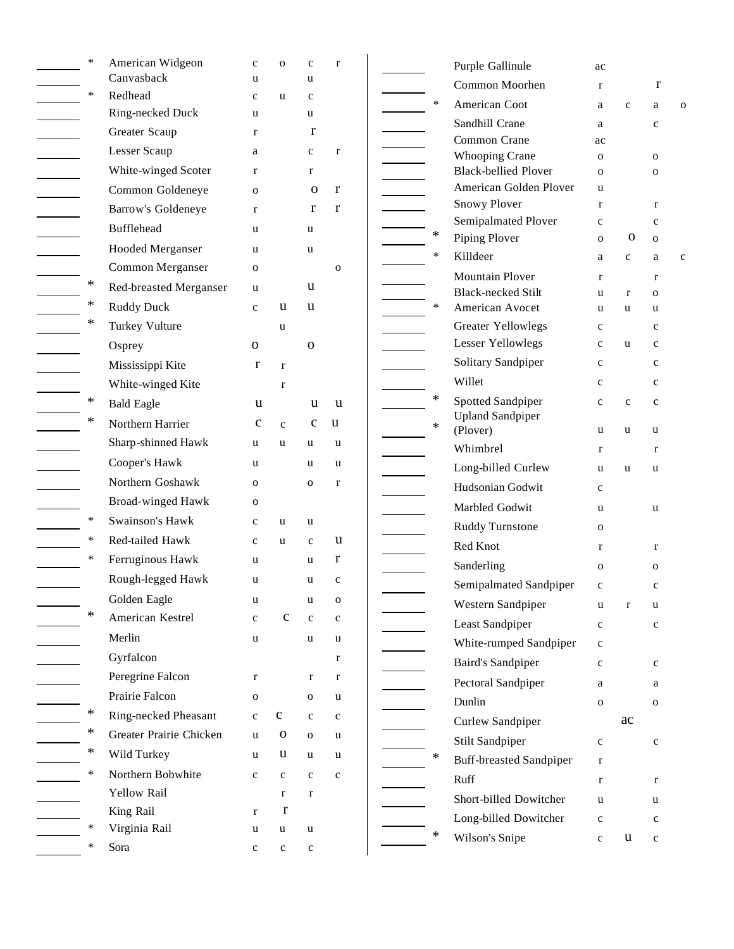| $\ast$ | American Widgeon        | $\mathbf c$  | ${\bf O}$    | $\mathbf c$  | $\bf r$      |        | Purple Gallinule                             | ac               |              |                  |              |
|--------|-------------------------|--------------|--------------|--------------|--------------|--------|----------------------------------------------|------------------|--------------|------------------|--------------|
|        | Canvasback              | u            |              | u            |              |        | Common Moorhen                               | $\bf r$          |              | $\bf r$          |              |
| $\ast$ | Redhead                 | $\mathbf{C}$ | <b>u</b>     | $\mathbf{C}$ |              | $\ast$ | American Coot                                | a                | $\mathbf c$  | a                | $\mathbf{O}$ |
|        | Ring-necked Duck        | u            |              | u            |              |        | Sandhill Crane                               | a                |              | $\mathbf c$      |              |
|        | Greater Scaup           | $\bf r$      |              | $\mathbf{r}$ |              |        | Common Crane                                 | ac               |              |                  |              |
|        | Lesser Scaup            | a            |              | $\mathbf c$  | $\bf r$      |        | <b>Whooping Crane</b>                        | $\mathbf 0$      |              | $\mathbf{O}$     |              |
|        | White-winged Scoter     | $\mathbf{r}$ |              | $\mathbf{r}$ |              |        | <b>Black-bellied Plover</b>                  | $\mathbf 0$      |              | 0                |              |
|        | Common Goldeneye        | $\mathbf{O}$ |              | $\mathbf 0$  | r            |        | American Golden Plover                       | u                |              |                  |              |
|        | Barrow's Goldeneye      | $\mathbf{r}$ |              | r            | r            |        | Snowy Plover                                 | $\bf r$          |              | $\bf r$          |              |
|        | Bufflehead              | <b>u</b>     |              | u            |              | ∗      | Semipalmated Plover                          | $\mathbf c$      |              | $\mathbf c$      |              |
|        | Hooded Merganser        | u            |              | u            |              |        | Piping Plover                                | $\mathbf{O}$     | O            | $\mathbf 0$      |              |
|        | Common Merganser        | $\mathbf 0$  |              |              | $\mathbf 0$  | $\ast$ | Killdeer                                     | a                | $\mathbf{c}$ | a                | $\mathbf c$  |
| ∗      | Red-breasted Merganser  | u            |              | u            |              |        | <b>Mountain Plover</b>                       | r                |              | r                |              |
| ∗      | <b>Ruddy Duck</b>       | $\mathbf{C}$ | u            | u            |              | $\ast$ | <b>Black-necked Stilt</b><br>American Avocet | u                | r            | $\mathbf{O}$     |              |
| ∗      | Turkey Vulture          |              | u            |              |              |        | Greater Yellowlegs                           | u<br>$\mathbf c$ | u            | u<br>$\mathbf c$ |              |
|        |                         | $\mathbf{O}$ |              | $\mathbf{O}$ |              |        | Lesser Yellowlegs                            | $\mathbf c$      | <b>u</b>     | $\mathbf c$      |              |
|        | Osprey                  |              |              |              |              |        | Solitary Sandpiper                           | $\mathbf c$      |              | $\mathbf c$      |              |
|        | Mississippi Kite        | r            | $\mathbf r$  |              |              |        | Willet                                       | $\mathbf c$      |              | $\mathbf c$      |              |
| $\ast$ | White-winged Kite       |              | $\mathbf r$  |              |              | ∗      | Spotted Sandpiper                            |                  |              |                  |              |
| ∗      | <b>Bald Eagle</b>       | u            |              | u            | u            |        | <b>Upland Sandpiper</b>                      | $\mathbf c$      | $\mathbf c$  | $\mathbf c$      |              |
|        | Northern Harrier        | $\mathbf c$  | $\mathbf{c}$ | $\mathbf{C}$ | u            | ∗      | (Plover)                                     | u                | u            | u                |              |
|        | Sharp-shinned Hawk      | u            | <b>u</b>     | u            | u            |        | Whimbrel                                     | r                |              | r                |              |
|        | Cooper's Hawk           | u            |              | u            | u            |        | Long-billed Curlew                           | u                | u            | <b>u</b>         |              |
|        | Northern Goshawk        | $\mathbf{O}$ |              | $\mathbf{O}$ | $\bf r$      |        | Hudsonian Godwit                             | $\mathbf c$      |              |                  |              |
|        | Broad-winged Hawk       | $\mathbf{O}$ |              |              |              |        | Marbled Godwit                               | u                |              | u                |              |
| $\ast$ | Swainson's Hawk         | $\mathbf c$  | u            | u            |              |        | <b>Ruddy Turnstone</b>                       | $\mathbf 0$      |              |                  |              |
| $\ast$ | Red-tailed Hawk         | $\mathbf{C}$ | u            | $\mathbf{c}$ | u            |        | Red Knot                                     | r                |              | r                |              |
| $\ast$ | Ferruginous Hawk        | <b>u</b>     |              | <b>u</b>     | r            |        | Sanderling                                   | $\mathbf{O}$     |              | $\mathbf{O}$     |              |
|        | Rough-legged Hawk       | u            |              | u            | $\mathbf c$  |        | Semipalmated Sandpiper                       | $\mathbf c$      |              | c                |              |
|        | Golden Eagle            | u            |              | u            | $\mathbf{o}$ |        | Western Sandpiper                            | u                | r            | u                |              |
| $\ast$ | American Kestrel        | $\mathbf{C}$ | $\mathbf{C}$ | $\mathbf{c}$ | $\mathbf{c}$ |        | Least Sandpiper                              | $\mathbf c$      |              | $\mathbf c$      |              |
|        | Merlin                  | u            |              | u            | u            |        | White-rumped Sandpiper                       | $\mathbf c$      |              |                  |              |
|        | Gyrfalcon               |              |              |              | $\mathbf r$  |        | <b>Baird's Sandpiper</b>                     | $\mathbf c$      |              | $\mathbf c$      |              |
|        | Peregrine Falcon        | $\mathbf r$  |              | $\mathbf{r}$ | $\mathbf{r}$ |        | Pectoral Sandpiper                           |                  |              |                  |              |
|        | Prairie Falcon          | ${\bf O}$    |              | $\mathbf 0$  | $\mathbf u$  |        | Dunlin                                       | a<br>$\mathbf 0$ |              | a<br>$\mathbf 0$ |              |
| ∗      | Ring-necked Pheasant    | $\mathbf{C}$ | $\mathbf{C}$ | $\mathbf c$  | $\mathbf c$  |        |                                              |                  | ac           |                  |              |
|        | Greater Prairie Chicken | <b>u</b>     | $\mathbf 0$  | $\mathbf{O}$ | u            |        | Curlew Sandpiper                             |                  |              |                  |              |
| ∗      | Wild Turkey             | u            | u            | u            | u            | ∗      | Stilt Sandpiper                              | $\mathbf{C}$     |              | $\mathbf c$      |              |
| $\ast$ | Northern Bobwhite       | $\mathbf{C}$ | $\mathbf c$  | $\mathbf{c}$ | $\mathbf c$  |        | <b>Buff-breasted Sandpiper</b>               | $\mathbf r$      |              |                  |              |
|        | Yellow Rail             |              | $\bf r$      | $\bf r$      |              |        | Ruff                                         | $\mathbf r$      |              | r                |              |
|        | King Rail               | $\mathbf{r}$ | $\mathbf{r}$ |              |              |        | Short-billed Dowitcher                       | u                |              | u                |              |
|        | Virginia Rail           | u            | $\mathbf u$  | u            |              |        | Long-billed Dowitcher                        | $\mathbf c$      |              | $\mathbf c$      |              |
| $\ast$ | Sora                    | $\mathbf{C}$ | $\mathbf c$  | $\mathbf c$  |              | ∗      | Wilson's Snipe                               | $\mathbf c$      | u            | $\mathbf c$      |              |
|        |                         |              |              |              |              |        |                                              |                  |              |                  |              |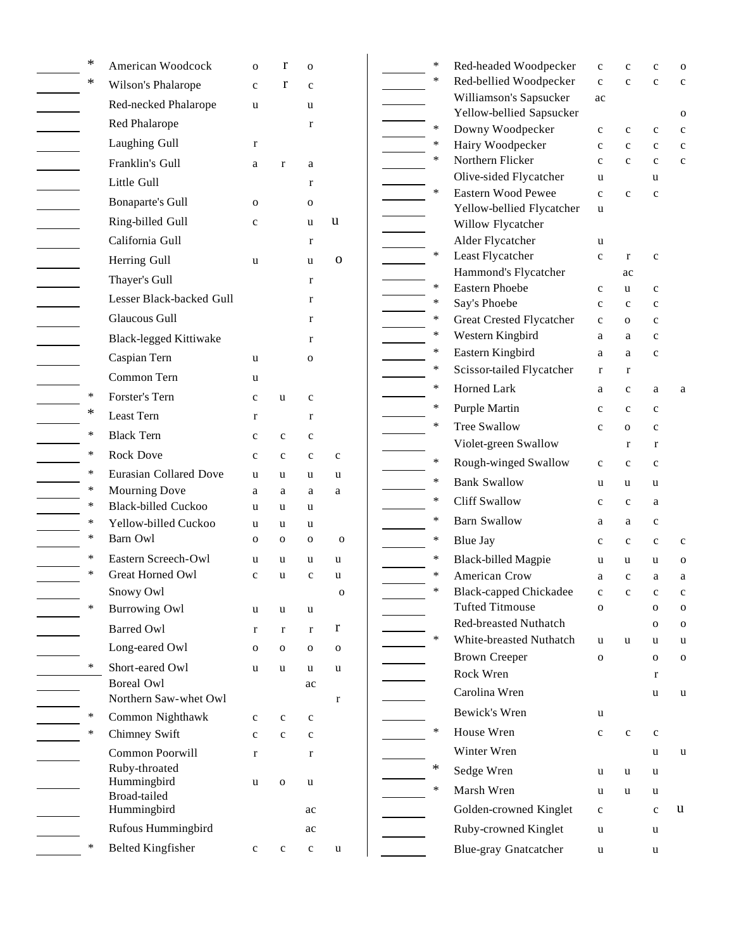| ∗      | American Woodcock                       | O            | r            | O                |              | ∗                | Red-                |
|--------|-----------------------------------------|--------------|--------------|------------------|--------------|------------------|---------------------|
| ∗      | Wilson's Phalarope                      | $\mathbf c$  | r            | $\mathbf{C}$     |              | ∗                | Red-                |
|        | Red-necked Phalarope                    | u            |              | u                |              |                  | Will                |
|        | Red Phalarope                           |              |              | r                |              | $\ast$           | Yell<br>Dow         |
|        | Laughing Gull                           | $\bf r$      |              |                  |              | ∗                | Hair                |
|        | Franklin's Gull                         | a            | $\mathbf{r}$ | a                |              | ∗                | Nort                |
|        | Little Gull                             |              |              | r                |              |                  | Oliv                |
|        | <b>Bonaparte's Gull</b>                 | 0            |              | $\mathbf{o}$     |              | $\ast$           | East<br>Yell        |
|        | Ring-billed Gull                        | $\mathbf c$  |              | u                | u            |                  | Will                |
|        | California Gull                         |              |              | $\bf r$          |              |                  | Alde                |
|        | Herring Gull                            | u            |              | u                | 0            | $\ast$           | Leas                |
|        | Thayer's Gull                           |              |              | $\bf r$          |              |                  | Ham                 |
|        | Lesser Black-backed Gull                |              |              | r                |              | $\ast$<br>$\ast$ | East<br>Say's       |
|        | <b>Glaucous Gull</b>                    |              |              | r                |              | *                | Grea                |
|        | <b>Black-legged Kittiwake</b>           |              |              | r                |              | ∗                | West                |
|        | Caspian Tern                            | u            |              | 0                |              | ∗                | East                |
|        | Common Tern                             | u            |              |                  |              | $\ast$           | Scis:               |
| $\ast$ | Forster's Tern                          | $\mathbf c$  | u            | $\mathbf c$      |              | *                | Horr                |
| *      | Least Tern                              | $\bf r$      |              | $\bf r$          |              | $\ast$           | Purp                |
| ∗      | <b>Black Tern</b>                       | $\mathbf c$  | $\mathbf c$  | $\mathbf c$      |              | $\ast$           | Tree                |
| ∗      | <b>Rock Dove</b>                        | $\mathbf c$  | $\mathbf c$  | $\mathbf c$      | $\mathbf c$  |                  | Viol                |
| ∗      | <b>Eurasian Collared Dove</b>           | u            | u            | u                | u            | $\ast$           | Roug                |
| ∗      | <b>Mourning Dove</b>                    | a            | a            | a                | a            | *<br>*           | Bank                |
| ∗      | <b>Black-billed Cuckoo</b>              | u            | u            | u                |              |                  | Cliff               |
| ∗<br>∗ | Yellow-billed Cuckoo<br>Barn Owl        | u            | u            | u                |              | *                | Barn                |
| ∗      |                                         | O            | $\mathbf{o}$ | $\mathbf 0$      | $\mathbf{o}$ | $\ast$           | Blue                |
| ∗      | Eastern Screech-Owl<br>Great Horned Owl | u<br>c       | u<br>u       | u<br>$\mathbf c$ | u<br>u       | ∗<br>∗           | Blac<br>Ame         |
|        | Snowy Owl                               |              |              |                  | 0            | ∗                | Blac                |
| ∗      | <b>Burrowing Owl</b>                    | u            | u            | u                |              |                  | Tuft                |
|        | <b>Barred Owl</b>                       | $\bf r$      | $\bf r$      | $\mathbf r$      | r            |                  | Red-                |
|        | Long-eared Owl                          | 0            | $\mathbf 0$  | O                | $\mathbf O$  | $\ast$           | Whit                |
| ∗      | Short-eared Owl                         | u            | u            | u                | u            |                  | <b>Brov</b><br>Rocl |
|        | <b>Boreal Owl</b>                       |              |              | ac               |              |                  | Caro                |
|        | Northern Saw-whet Owl                   |              |              |                  | r            |                  | Bew                 |
| ∗      | Common Nighthawk                        | $\mathbf c$  | $\mathbf{C}$ | $\mathbf c$      |              | $\ast$           |                     |
| $\ast$ | Chimney Swift                           | $\mathbf c$  | $\mathbf c$  | $\mathbf c$      |              |                  | Hou:<br>Wint        |
|        | Common Poorwill<br>Ruby-throated        | $\bf r$      |              | $\bf r$          |              | *                |                     |
|        | Hummingbird                             | u            | $\mathbf{o}$ | u                |              | *                | Sedg<br>Mars        |
|        | Broad-tailed<br>Hummingbird             |              |              |                  |              |                  | Gold                |
|        | Rufous Hummingbird                      |              |              | ac<br>ac         |              |                  | Ruby                |
| ∗      | <b>Belted Kingfisher</b>                | $\mathbf{C}$ | $\mathbf c$  | $\mathbf c$      |              |                  | Blue                |
|        |                                         |              |              |                  | u            |                  |                     |

| $\ast$ | Red-headed Woodpecker                                   | $\mathbf c$      | c           | $\mathbf c$  | O            |
|--------|---------------------------------------------------------|------------------|-------------|--------------|--------------|
| *      | Red-bellied Woodpecker                                  | $\mathbf{c}$     | $\mathbf c$ | $\mathbf c$  | c            |
|        | Williamson's Sapsucker<br>Yellow-bellied Sapsucker      | ac               |             |              | O            |
| ∗      | Downy Woodpecker                                        | c                | $\mathbf c$ | $\mathbf c$  | c            |
| ∗      | Hairy Woodpecker                                        | c                | c           | $\mathbf c$  | c            |
| *      | Northern Flicker                                        | $\mathbf c$      | $\mathbf c$ | $\mathbf c$  | $\mathbf c$  |
|        | Olive-sided Flycatcher                                  | u                |             | u            |              |
| ∗      | Eastern Wood Pewee                                      | $\mathbf c$      | $\mathbf c$ | $\mathbf c$  |              |
|        | Yellow-bellied Flycatcher                               | u                |             |              |              |
|        | Willow Flycatcher                                       |                  |             |              |              |
| ∗      | Alder Flycatcher<br>Least Flycatcher                    | u<br>$\mathbf c$ | r           | $\mathbf c$  |              |
|        | Hammond's Flycatcher                                    |                  | ac          |              |              |
| ∗      | <b>Eastern Phoebe</b>                                   | c                | u           | $\mathbf c$  |              |
| ∗      | Say's Phoebe                                            | $\mathbf c$      | c           | $\mathbf c$  |              |
| ∗      | Great Crested Flycatcher                                | $\mathbf c$      | 0           | $\mathbf c$  |              |
| ∗      | Western Kingbird                                        | a                | a           | $\mathbf c$  |              |
| ∗      | Eastern Kingbird                                        | a                | a           | $\mathbf c$  |              |
| ∗      | Scissor-tailed Flycatcher                               | r                | r           |              |              |
| *      | Horned Lark                                             | a                | c           | a            | a            |
| *      | Purple Martin                                           | $\mathbf c$      | $\mathbf c$ | $\mathbf{c}$ |              |
| *      | <b>Tree Swallow</b>                                     | $\mathbf c$      | 0           | $\mathbf c$  |              |
|        | Violet-green Swallow                                    |                  | r           | r            |              |
| ∗      | Rough-winged Swallow                                    | c                | c           | c            |              |
| *      | <b>Bank Swallow</b>                                     | u                | u           | u            |              |
| ∗      | <b>Cliff Swallow</b>                                    | c                | c           | a            |              |
| ∗      | <b>Barn Swallow</b>                                     | a                | a           | $\mathbf c$  |              |
| ∗      | <b>Blue Jay</b>                                         | с                | c           | $\mathbf c$  | c            |
| *      | <b>Black-billed Magpie</b>                              | u                | u           | u            | $\mathbf{O}$ |
| ∗      | American Crow                                           | a                | $\mathbf c$ | a            | a            |
| *      | <b>Black-capped Chickadee</b>                           | $\mathcal{C}$    | C           | C            | C            |
|        | <b>Tufted Titmouse</b>                                  | O                |             | O            | O            |
| *      | <b>Red-breasted Nuthatch</b><br>White-breasted Nuthatch |                  |             | O            | 0            |
|        |                                                         | u                | u           | u            | u            |
|        | <b>Brown Creeper</b><br>Rock Wren                       | O                |             | O            | o            |
|        | Carolina Wren                                           |                  |             | r            |              |
|        |                                                         |                  |             | u            | u            |
|        | Bewick's Wren                                           | u                |             |              |              |
| ∗      | House Wren                                              | c                | c           | c            |              |
|        | Winter Wren                                             |                  |             | u            | u            |
| *      | Sedge Wren                                              | u                | u           | u            |              |
| ∗      | Marsh Wren                                              | u                | u           | u            |              |
|        | Golden-crowned Kinglet                                  | c                |             | $\mathbf c$  | u            |
|        | Ruby-crowned Kinglet                                    | u                |             | u            |              |
|        | <b>Blue-gray Gnatcatcher</b>                            | u                |             | u            |              |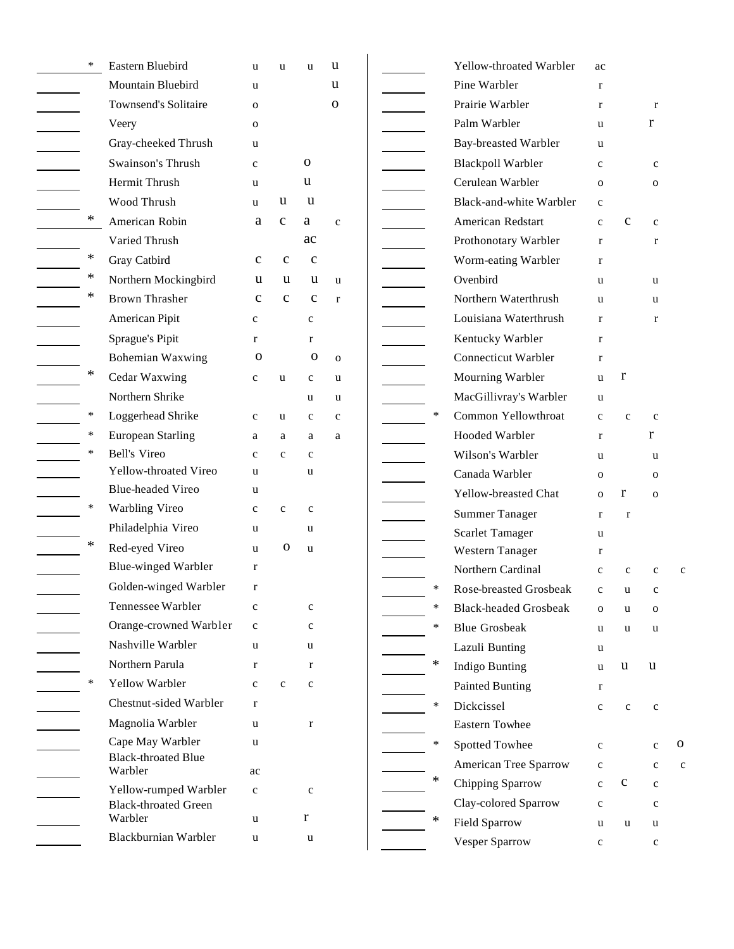| $\ast$ | Eastern Bluebird                      | u            | u            | u            | u            |  |        | Yellow-throated Warbler        | ac           |              |              |   |
|--------|---------------------------------------|--------------|--------------|--------------|--------------|--|--------|--------------------------------|--------------|--------------|--------------|---|
|        | Mountain Bluebird                     | u            |              |              | u            |  |        | Pine Warbler                   | $\mathbf{r}$ |              |              |   |
|        | <b>Townsend's Solitaire</b>           | $\mathbf 0$  |              |              | $\mathbf 0$  |  |        | Prairie Warbler                | $\bf r$      |              | $\mathbf r$  |   |
|        | Veery                                 | $\mathbf{O}$ |              |              |              |  |        | Palm Warbler                   | <b>u</b>     |              | r            |   |
|        | Gray-cheeked Thrush                   | u            |              |              |              |  |        | Bay-breasted Warbler           | u.           |              |              |   |
|        | Swainson's Thrush                     | $\mathbf c$  |              | 0            |              |  |        | <b>Blackpoll Warbler</b>       | $\mathbf{c}$ |              | $\mathbf c$  |   |
|        | Hermit Thrush                         | u            |              | u            |              |  |        | Cerulean Warbler               | $\mathbf{o}$ |              | $\mathbf{O}$ |   |
|        | Wood Thrush                           | u            | u            | $\mathbf u$  |              |  |        | <b>Black-and-white Warbler</b> | $\mathbf c$  |              |              |   |
| ∗      | American Robin                        | a            | $\mathbf c$  | a            | $\mathbf{C}$ |  |        | American Redstart              | $\mathbf{c}$ | $\mathbf c$  | $\mathbf c$  |   |
|        | Varied Thrush                         |              |              | ac           |              |  |        | Prothonotary Warbler           | $\mathbf{r}$ |              | r            |   |
| $\ast$ | Gray Catbird                          | $\mathbf c$  | $\mathbf{C}$ | $\mathbf c$  |              |  |        | Worm-eating Warbler            | $\mathbf{r}$ |              |              |   |
| ∗      | Northern Mockingbird                  | u            | u            | u            | <b>u</b>     |  |        | Ovenbird                       | u.           |              | u            |   |
| ∗      | <b>Brown Thrasher</b>                 | $\mathbf c$  | $\mathbf{C}$ | $\mathbf c$  | $\mathbf{r}$ |  |        | Northern Waterthrush           | u            |              | <b>u</b>     |   |
|        | American Pipit                        | $\mathbf c$  |              | $\mathbf{C}$ |              |  |        | Louisiana Waterthrush          | $\mathbf{r}$ |              | $\mathbf{r}$ |   |
|        | Sprague's Pipit                       | $\mathbf{r}$ |              | r            |              |  |        | Kentucky Warbler               | $\mathbf{r}$ |              |              |   |
|        | Bohemian Waxwing                      | $\mathbf 0$  |              | $\mathbf{o}$ | $\mathbf 0$  |  |        | <b>Connecticut Warbler</b>     | $\bf r$      |              |              |   |
| ∗      | Cedar Waxwing                         | $\mathbf c$  | u            | $\mathbf c$  | u            |  |        | Mourning Warbler               | u            | r            |              |   |
|        | Northern Shrike                       |              |              | u            | u            |  |        | MacGillivray's Warbler         | u            |              |              |   |
| $\ast$ | Loggerhead Shrike                     | $\mathbf c$  | u            | $\mathbf c$  | $\mathbf{C}$ |  | $\ast$ | Common Yellowthroat            | $\mathbf{C}$ | $\mathbf{C}$ | $\mathbf c$  |   |
| $\ast$ | <b>European Starling</b>              | a            | a            | a            | a            |  |        | Hooded Warbler                 | $\mathbf{r}$ |              | r            |   |
| $\ast$ | <b>Bell's Vireo</b>                   | $\mathbf{C}$ | $\mathbf{c}$ | $\mathbf c$  |              |  |        | Wilson's Warbler               | u            |              | <b>u</b>     |   |
|        | Yellow-throated Vireo                 | u            |              | u            |              |  |        | Canada Warbler                 | $\mathbf{o}$ |              | $\mathbf 0$  |   |
|        | <b>Blue-headed Vireo</b>              | u            |              |              |              |  |        | Yellow-breasted Chat           | $\mathbf{o}$ | r            | $\mathbf{O}$ |   |
| ∗      | Warbling Vireo                        | $\mathbf c$  | $\mathbf{C}$ | $\mathbf c$  |              |  |        | <b>Summer Tanager</b>          | r            | $\mathbf{r}$ |              |   |
|        | Philadelphia Vireo                    | u            |              | u            |              |  |        | <b>Scarlet Tamager</b>         | u            |              |              |   |
| $\ast$ | Red-eyed Vireo                        | u            | $\mathbf 0$  | u            |              |  |        | Western Tanager                | $\mathbf{r}$ |              |              |   |
|        | <b>Blue-winged Warbler</b>            | $\bf r$      |              |              |              |  |        | Northern Cardinal              | $\mathbf{c}$ | $\mathbf{C}$ | c            |   |
|        | Golden-winged Warbler                 | $\mathbf{r}$ |              |              |              |  | $\ast$ | Rose-breasted Grosbeak         | $\mathbf c$  | u            | $\mathbf c$  |   |
|        | Tennessee Warbler                     | $\mathbf c$  |              | c            |              |  | ∗      | <b>Black-headed Grosbeak</b>   | O            | u            | $\mathbf 0$  |   |
|        | Orange-crowned Warbler                | $\mathbf c$  |              | $\mathbf c$  |              |  | $\ast$ | <b>Blue Grosbeak</b>           | u            | u            | u            |   |
|        | Nashville Warbler                     | u            |              | u            |              |  |        | Lazuli Bunting                 | u            |              |              |   |
|        | Northern Parula                       | $\mathbf{r}$ |              | r            |              |  | $\ast$ | Indigo Bunting                 | u            | u            | u            |   |
| *      | Yellow Warbler                        | $\mathbf c$  | $\mathbf c$  | $\mathbf c$  |              |  |        | Painted Bunting                | r            |              |              |   |
|        | Chestnut-sided Warbler                | $\mathbf{r}$ |              |              |              |  | $\ast$ | Dickcissel                     | $\mathbf{C}$ | $\mathbf c$  | $\mathbf c$  |   |
|        | Magnolia Warbler                      | u            |              | $\mathbf r$  |              |  |        | Eastern Towhee                 |              |              |              |   |
|        | Cape May Warbler                      | u            |              |              |              |  | $\ast$ | Spotted Towhee                 | $\mathbf c$  |              | $\mathbf{C}$ | 0 |
|        | <b>Black-throated Blue</b><br>Warbler | ac           |              |              |              |  |        | American Tree Sparrow          | $\mathbf c$  |              | $\mathbf c$  | c |
|        | Yellow-rumped Warbler                 | $\mathbf c$  |              | $\mathbf c$  |              |  | $\ast$ | Chipping Sparrow               | $\mathbf c$  | $\mathbf c$  | $\mathbf c$  |   |
|        | <b>Black-throated Green</b>           |              |              |              |              |  |        | Clay-colored Sparrow           | $\mathbf c$  |              | $\mathbf c$  |   |
|        | Warbler                               | u            |              | r            |              |  | ∗      | <b>Field Sparrow</b>           | u            | u            | u            |   |
|        | Blackburnian Warbler                  | u            |              | u            |              |  |        | Vesper Sparrow                 | $\mathbf{C}$ |              | $\mathbf c$  |   |
|        |                                       |              |              |              |              |  |        |                                |              |              |              |   |